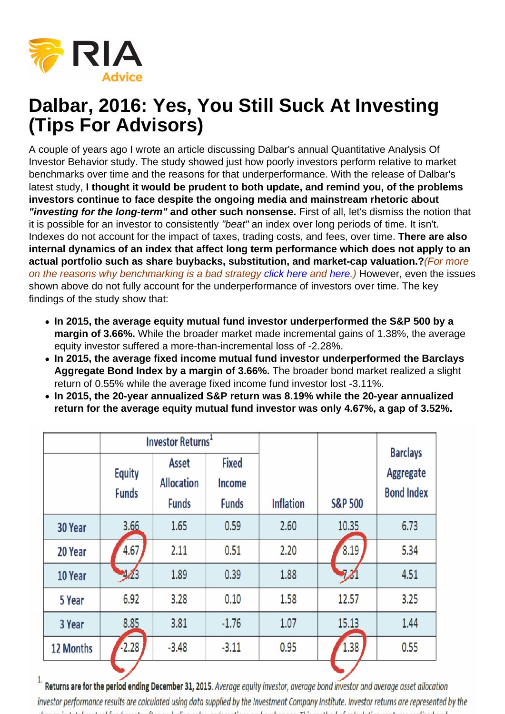# Dalbar, 2016: Yes, You Still Suck At Investing (Tips For Advisors)

A couple of years ago I wrote an article discussing Dalbar's annual Quantitative Analysis Of Investor Behavior study. The study showed just how poorly investors perform relative to market benchmarks over time and the reasons for that underperformance. With the release of Dalbar's latest study, I thought it would be prudent to both update, and remind you, of the problems investors continue to face despite the ongoing media and mainstream rhetoric about "investing for the long-term" and other such nonsense. First of all, let's dismiss the notion that it is possible for an investor to consistently "beat" an index over long periods of time. It isn't. Indexes do not account for the impact of taxes, trading costs, and fees, over time. There are also internal dynamics of an index that affect long term performance which does not apply to an actual portfolio such as share buybacks, substitution, and market-cap valuation.? (For more on the reasons why benchmarking is a bad strategy click here and here.) However, even the issues shown above do not fully account for the underperformance of investors over time. The key findings of the study show that:

- In 2015, the average equity mutual fund investor underperformed the S&P 500 by a margin of 3.66%. While the broader market made incremental gains of 1.38%, the average equity investor suffered a more-than-incremental loss of -2.28%.
- In 2015, the average fixed income mutual fund investor underperformed the Barclays Aggregate Bond Index by a margin of 3.66%. The broader bond market realized a slight return of 0.55% while the average fixed income fund investor lost -3.11%.
- In 2015, the 20-year annualized S&P return was 8.19% while the 20-year annualized return for the average equity mutual fund investor was only 4.67%, a gap of 3.52%.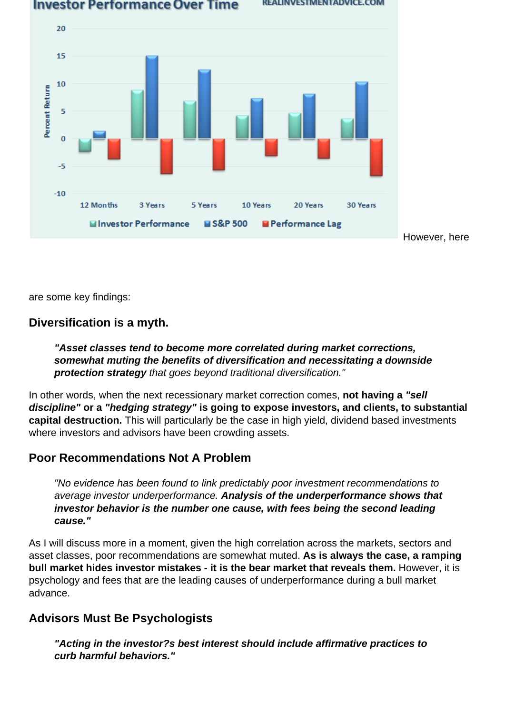[Here is a visual of the lag between expectations and reality.](https://realinvestmentadvice.com/wp-content/uploads/2016/06/Dalbar-2016-ReturnComparision-060616.png)

However, here

are some key findings:

Diversification is a myth.

"Asset classes tend to become more correlated during market corrections, somewhat muting the benefits of diversification and necessitating a downside protection strategy that goes beyond traditional diversification."

In other words, when the next recessionary market correction comes, not having a "sell discipline" or a "hedging strategy" is going to expose investors, and clients, to substantial capital destruction. This will particularly be the case in high yield, dividend based investments where investors and advisors have been crowding assets.

#### Poor Recommendations Not A Problem

"No evidence has been found to link predictably poor investment recommendations to average investor underperformance. Analysis of the underperformance shows that investor behavior is the number one cause, with fees being the second leading cause."

As I will discuss more in a moment, given the high correlation across the markets, sectors and asset classes, poor recommendations are somewhat muted. As is always the case, a ramping bull market hides investor mistakes - it is the bear market that reveals them. However, it is psychology and fees that are the leading causes of underperformance during a bull market advance.

#### Advisors Must Be Psychologists

"Acting in the investor?s best interest should include affirmative practices to curb harmful behaviors."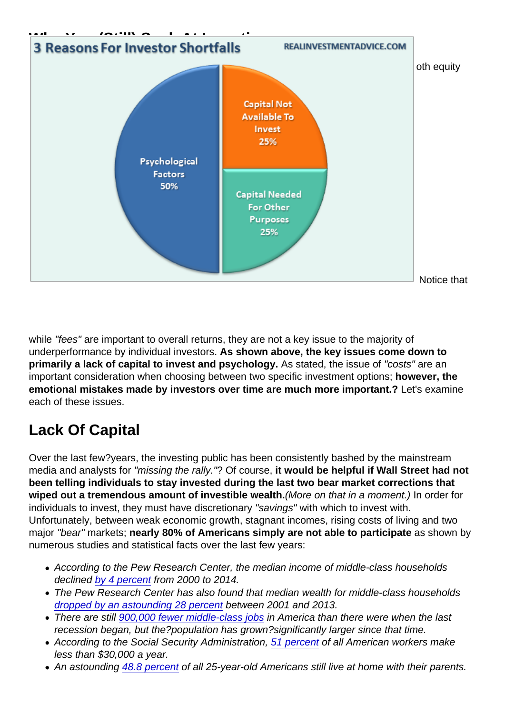## Why You (Still) Suck At Investing

[Accordingly to the Dalbar study, the three primary causes for the chronic shortfall for bo](https://realinvestmentadvice.com/wp-content/uploads/2016/06/Dalbar-2016-Psychology-060616.png)th equity and fixed income investors is shown in the chart below.

Notice that

while "fees" are important to overall returns, they are not a key issue to the majority of underperformance by individual investors. As shown above, the key issues come down to primarily a lack of capital to invest and psychology. As stated, the issue of "costs" are an important consideration when choosing between two specific investment options; however, the emotional mistakes made by investors over time are much more important.? Let's examine each of these issues.

### Lack Of Capital

Over the last few?years, the investing public has been consistently bashed by the mainstream media and analysts for "missing the rally."? Of course, it would be helpful if Wall Street had not been telling individuals to stay invested during the last two bear market corrections that wiped out a tremendous amount of investible wealth. (More on that in a moment.) In order for individuals to invest, they must have discretionary "savings" with which to invest with. Unfortunately, between weak economic growth, stagnant incomes, rising costs of living and two major "bear" markets; nearly 80% of Americans simply are not able to participate as shown by numerous studies and statistical facts over the last few years:

- According to the Pew Research Center, the median income of middle-class households declined [by 4 percent](http://www.cnbc.com/2015/12/10/middle-class-americans-no-longer-majority.html) from 2000 to 2014.
- The Pew Research Center has also found that median wealth for middle-class households [dropped by an astounding 28 percent](http://www.cnbc.com/2015/12/10/middle-class-americans-no-longer-majority.html) between 2001 and 2013.
- There are still [900,000 fewer middle-class jobs](https://cew.georgetown.edu/wp-content/uploads/Good-Jobs_Full_Final.pdf) in America than there were when the last recession began, but the?population has grown?significantly larger since that time.
- According to the Social Security Administration, [51 percent](http://themostimportantnews.com/archives/51-percent-of-all-american-workers-make-less-than-30000-dollars-a-year) of all American workers make less than \$30,000 a year.
- An astounding [48.8 percent](http://www.zerohedge.com/news/2015-10-27/why-are-half-all-25-year-olds-still-living-their-parents-federal-reserve-answers) of all 25-year-old Americans still live at home with their parents.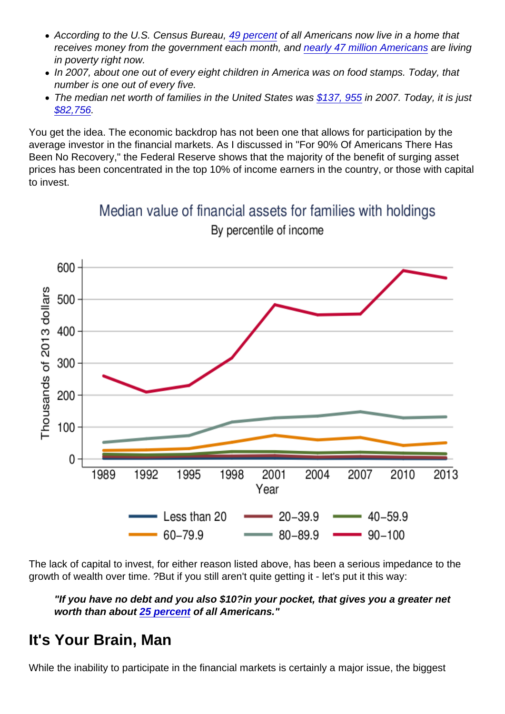- According to the U.S. Census Bureau, [49 percent](http://themostimportantnews.com/archives/51-percent-of-all-american-workers-make-less-than-30000-dollars-a-year) of all Americans now live in a home that receives money from the government each month, and [nearly 47 million Americans](http://www.theatlantic.com/business/archive/2015/09/americas-poverty-problem/405700/) are living in poverty right now.
- In 2007, about one out of every eight children in America was on food stamps. Today, that number is one out of every five.
- The median net worth of families in the United States was [\\$137, 955](http://www.pewsocialtrends.org/2015/12/09/the-american-middle-class-is-losing-ground/st_2015-12-09_middle-class-29/) in 2007. Today, it is just [\\$82,756](http://www.pewsocialtrends.org/2015/12/09/the-american-middle-class-is-losing-ground/st_2015-12-09_middle-class-29/).

You get the idea. The economic backdrop has not been one that allows for participation by the average investor in the financial markets. As I discussed in "For 90% Of Americans There Has Been No Recovery," the Federal Reserve shows that the majority of the benefit of surging asset prices has been concentrated in the top 10% of income earners in the country, or those with capital to invest.

The lack of capital to invest, for either reason listed above, has been a serious impedance to the growth of wealth over time. ?But if you still aren't quite getting it - let's put it this way:

"If you have no debt and you also \$10?in your pocket, that gives you a greater net worth than about [25 percent](http://themostimportantnews.com/archives/51-percent-of-all-american-workers-make-less-than-30000-dollars-a-year) of all Americans."

#### It's Your Brain, Man

While the inability to participate in the financial markets is certainly a major issue, the biggest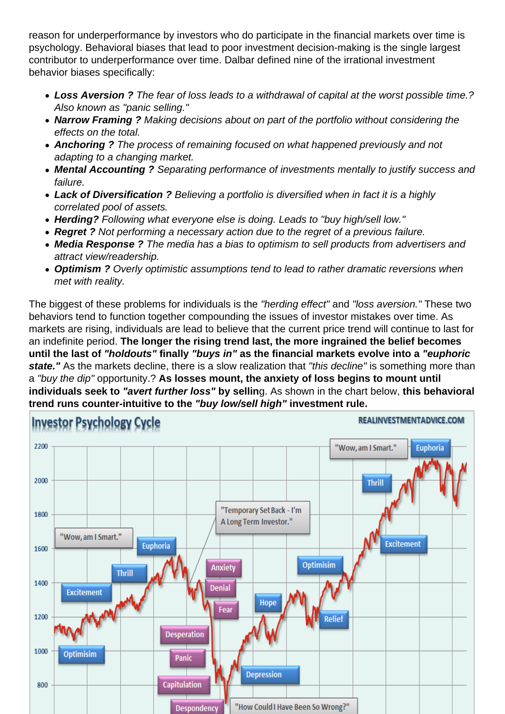reason for underperformance by investors who do participate in the financial markets over time is psychology. Behavioral biases that lead to poor investment decision-making is the single largest contributor to underperformance over time. Dalbar defined nine of the irrational investment behavior biases specifically:

- Loss Aversion ? The fear of loss leads to a withdrawal of capital at the worst possible time.? Also known as "panic selling."
- Narrow Framing ? Making decisions about on part of the portfolio without considering the effects on the total.
- Anchoring ? The process of remaining focused on what happened previously and not adapting to a changing market.
- Mental Accounting ? Separating performance of investments mentally to justify success and failure.
- Lack of Diversification ? Believing a portfolio is diversified when in fact it is a highly correlated pool of assets.
- Herding? Following what everyone else is doing. Leads to "buy high/sell low."
- Regret ? Not performing a necessary action due to the regret of a previous failure.
- Media Response ? The media has a bias to optimism to sell products from advertisers and attract view/readership.
- Optimism ? Overly optimistic assumptions tend to lead to rather dramatic reversions when met with reality.

The biggest of these problems for individuals is the "herding effect" and "loss aversion." These two behaviors tend to function together compounding the issues of investor mistakes over time. As markets are rising, individuals are lead to believe that the current price trend will continue to last for an indefinite period. The longer the rising trend last, the more ingrained the belief becomes until the last of "holdouts" finally "buys in" as the financial markets evolve into a "euphoric state." As the markets decline, there is a slow realization that "this decline" is something more than a "buy the dip" opportunity.? As losses mount, the anxiety of loss begins to mount until individuals seek to "avert further loss" by sellin g. As shown in the chart below, this behavioral trend runs counter-intuitive to the "buy low/sell high" investment rule.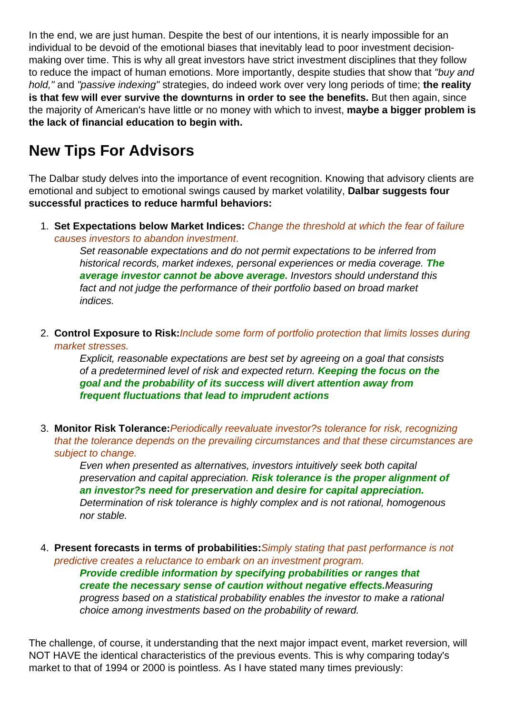In the end, we are just human. Despite the best of our intentions, it is nearly impossible for an individual to be devoid of the emotional biases that inevitably lead to poor investment decisionmaking over time. This is why all great investors have strict investment disciplines that they follow to reduce the impact of human emotions. More importantly, despite studies that show that "buy and hold," and "passive indexing" strategies, do indeed work over very long periods of time; **the reality is that few will ever survive the downturns in order to see the benefits.** But then again, since the majority of American's have little or no money with which to invest, **maybe a bigger problem is the lack of financial education to begin with.**

### **New Tips For Advisors**

The Dalbar study delves into the importance of event recognition. Knowing that advisory clients are emotional and subject to emotional swings caused by market volatility, **Dalbar suggests four successful practices to reduce harmful behaviors:**

1. **Set Expectations below Market Indices:** Change the threshold at which the fear of failure causes investors to abandon investment.

Set reasonable expectations and do not permit expectations to be inferred from historical records, market indexes, personal experiences or media coverage. **The average investor cannot be above average.** Investors should understand this fact and not judge the performance of their portfolio based on broad market indices.

2. **Control Exposure to Risk:**Include some form of portfolio protection that limits losses during market stresses.

Explicit, reasonable expectations are best set by agreeing on a goal that consists of a predetermined level of risk and expected return. **Keeping the focus on the goal and the probability of its success will divert attention away from frequent fluctuations that lead to imprudent actions**

3. **Monitor Risk Tolerance:**Periodically reevaluate investor?s tolerance for risk, recognizing that the tolerance depends on the prevailing circumstances and that these circumstances are subject to change.

Even when presented as alternatives, investors intuitively seek both capital preservation and capital appreciation. **Risk tolerance is the proper alignment of an investor?s need for preservation and desire for capital appreciation.** Determination of risk tolerance is highly complex and is not rational, homogenous nor stable.

4. **Present forecasts in terms of probabilities:**Simply stating that past performance is not predictive creates a reluctance to embark on an investment program. **Provide credible information by specifying probabilities or ranges that create the necessary sense of caution without negative effects.**Measuring progress based on a statistical probability enables the investor to make a rational choice among investments based on the probability of reward.

The challenge, of course, it understanding that the next major impact event, market reversion, will NOT HAVE the identical characteristics of the previous events. This is why comparing today's market to that of 1994 or 2000 is pointless. As I have stated many times previously: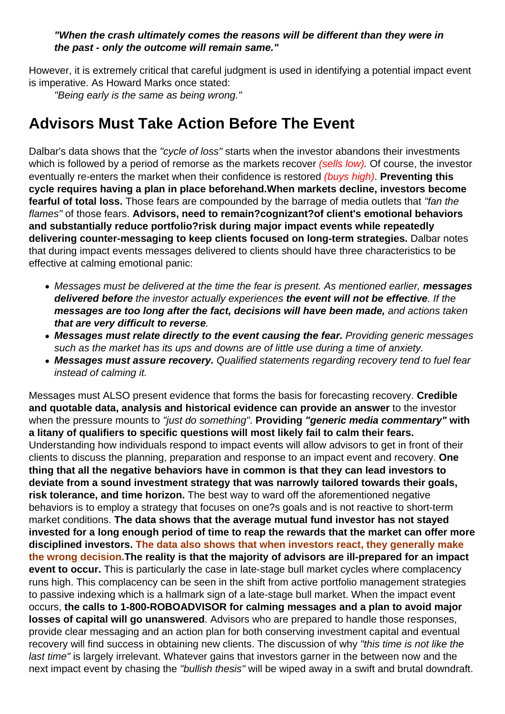#### **"When the crash ultimately comes the reasons will be different than they were in the past - only the outcome will remain same."**

However, it is extremely critical that careful judgment is used in identifying a potential impact event is imperative. As Howard Marks once stated:

"Being early is the same as being wrong."

### **Advisors Must Take Action Before The Event**

Dalbar's data shows that the "cycle of loss" starts when the investor abandons their investments which is followed by a period of remorse as the markets recover (sells low). Of course, the investor eventually re-enters the market when their confidence is restored (buys high). **Preventing this cycle requires having a plan in place beforehand.When markets decline, investors become fearful of total loss.** Those fears are compounded by the barrage of media outlets that "fan the flames" of those fears. **Advisors, need to remain?cognizant?of client's emotional behaviors and substantially reduce portfolio?risk during major impact events while repeatedly delivering counter-messaging to keep clients focused on long-term strategies.** Dalbar notes that during impact events messages delivered to clients should have three characteristics to be effective at calming emotional panic:

- Messages must be delivered at the time the fear is present. As mentioned earlier, **messages delivered before** the investor actually experiences **the event will not be effective**. If the **messages are too long after the fact, decisions will have been made,** and actions taken **that are very difficult to reverse**.
- **Messages must relate directly to the event causing the fear.** Providing generic messages such as the market has its ups and downs are of little use during a time of anxiety.
- **Messages must assure recovery.** Qualified statements regarding recovery tend to fuel fear instead of calming it.

Messages must ALSO present evidence that forms the basis for forecasting recovery. **Credible and quotable data, analysis and historical evidence can provide an answer** to the investor when the pressure mounts to "just do something". **Providing "generic media commentary" with a litany of qualifiers to specific questions will most likely fail to calm their fears.** Understanding how individuals respond to impact events will allow advisors to get in front of their clients to discuss the planning, preparation and response to an impact event and recovery. **One thing that all the negative behaviors have in common is that they can lead investors to deviate from a sound investment strategy that was narrowly tailored towards their goals, risk tolerance, and time horizon.** The best way to ward off the aforementioned negative behaviors is to employ a strategy that focuses on one?s goals and is not reactive to short-term market conditions. **The data shows that the average mutual fund investor has not stayed invested for a long enough period of time to reap the rewards that the market can offer more disciplined investors. The data also shows that when investors react, they generally make the wrong decision.The reality is that the majority of advisors are ill-prepared for an impact event to occur.** This is particularly the case in late-stage bull market cycles where complacency runs high. This complacency can be seen in the shift from active portfolio management strategies to passive indexing which is a hallmark sign of a late-stage bull market. When the impact event occurs, **the calls to 1-800-ROBOADVISOR for calming messages and a plan to avoid major losses of capital will go unanswered**. Advisors who are prepared to handle those responses, provide clear messaging and an action plan for both conserving investment capital and eventual recovery will find success in obtaining new clients. The discussion of why "this time is not like the last time" is largely irrelevant. Whatever gains that investors garner in the between now and the next impact event by chasing the "bullish thesis" will be wiped away in a swift and brutal downdraft.